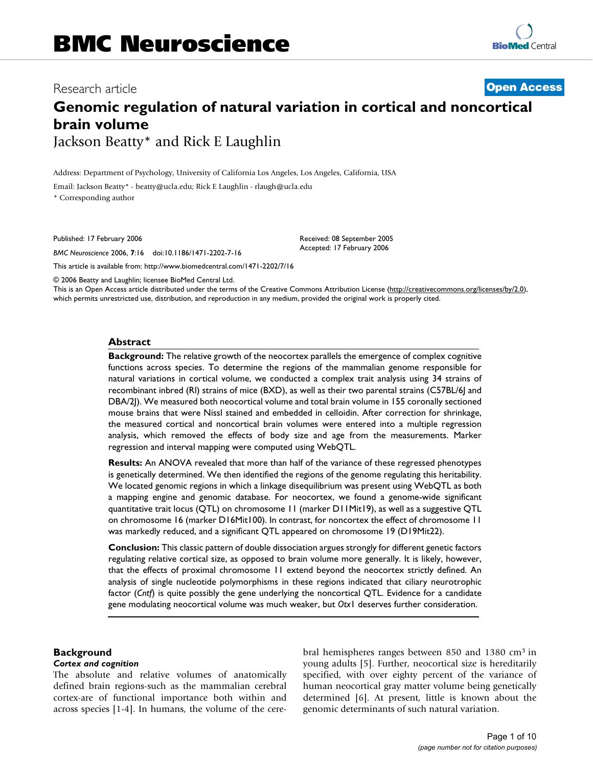# Research article **[Open Access](http://www.biomedcentral.com/info/about/charter/)**

# **Genomic regulation of natural variation in cortical and noncortical brain volume**

Jackson Beatty\* and Rick E Laughlin

Address: Department of Psychology, University of California Los Angeles, Los Angeles, California, USA

Email: Jackson Beatty\* - beatty@ucla.edu; Rick E Laughlin - rlaugh@ucla.edu

\* Corresponding author

Published: 17 February 2006

*BMC Neuroscience* 2006, **7**:16 doi:10.1186/1471-2202-7-16

[This article is available from: http://www.biomedcentral.com/1471-2202/7/16](http://www.biomedcentral.com/1471-2202/7/16)

© 2006 Beatty and Laughlin; licensee BioMed Central Ltd.

This is an Open Access article distributed under the terms of the Creative Commons Attribution License [\(http://creativecommons.org/licenses/by/2.0\)](http://creativecommons.org/licenses/by/2.0), which permits unrestricted use, distribution, and reproduction in any medium, provided the original work is properly cited.

Received: 08 September 2005 Accepted: 17 February 2006

#### **Abstract**

**Background:** The relative growth of the neocortex parallels the emergence of complex cognitive functions across species. To determine the regions of the mammalian genome responsible for natural variations in cortical volume, we conducted a complex trait analysis using 34 strains of recombinant inbred (Rl) strains of mice (BXD), as well as their two parental strains (C57BL/6J and DBA/2J). We measured both neocortical volume and total brain volume in 155 coronally sectioned mouse brains that were Nissl stained and embedded in celloidin. After correction for shrinkage, the measured cortical and noncortical brain volumes were entered into a multiple regression analysis, which removed the effects of body size and age from the measurements. Marker regression and interval mapping were computed using WebQTL.

**Results:** An ANOVA revealed that more than half of the variance of these regressed phenotypes is genetically determined. We then identified the regions of the genome regulating this heritability. We located genomic regions in which a linkage disequilibrium was present using WebQTL as both a mapping engine and genomic database. For neocortex, we found a genome-wide significant quantitative trait locus (QTL) on chromosome 11 (marker D11Mit19), as well as a suggestive QTL on chromosome 16 (marker D16Mit100). In contrast, for noncortex the effect of chromosome 11 was markedly reduced, and a significant QTL appeared on chromosome 19 (D19Mit22).

**Conclusion:** This classic pattern of double dissociation argues strongly for different genetic factors regulating relative cortical size, as opposed to brain volume more generally. It is likely, however, that the effects of proximal chromosome 11 extend beyond the neocortex strictly defined. An analysis of single nucleotide polymorphisms in these regions indicated that ciliary neurotrophic factor (*Cntf*) is quite possibly the gene underlying the noncortical QTL. Evidence for a candidate gene modulating neocortical volume was much weaker, but *Otx*1 deserves further consideration.

#### **Background**

#### *Cortex and cognition*

The absolute and relative volumes of anatomically defined brain regions-such as the mammalian cerebral cortex-are of functional importance both within and across species [1-4]. In humans, the volume of the cerebral hemispheres ranges between 850 and 1380 cm3 in young adults [5]. Further, neocortical size is hereditarily specified, with over eighty percent of the variance of human neocortical gray matter volume being genetically determined [6]. At present, little is known about the genomic determinants of such natural variation.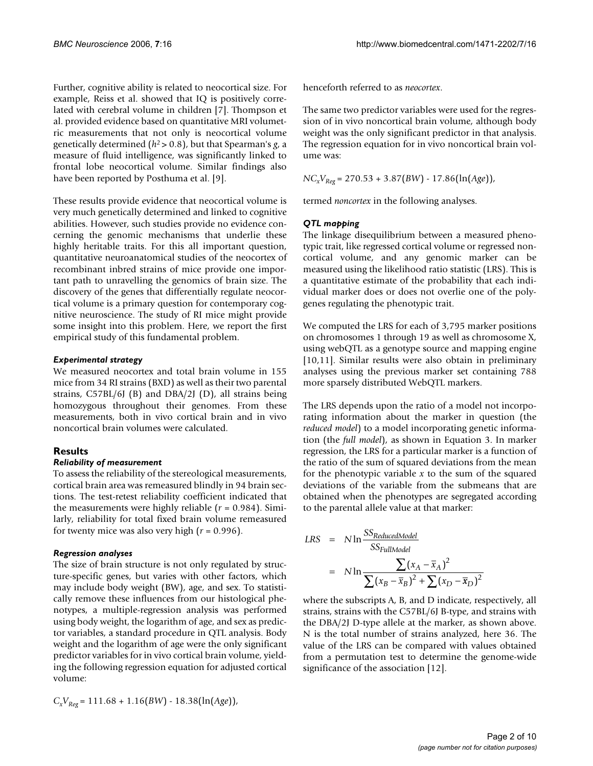Further, cognitive ability is related to neocortical size. For example, Reiss et al. showed that IQ is positively correlated with cerebral volume in children [7]. Thompson et al. provided evidence based on quantitative MRI volumetric measurements that not only is neocortical volume genetically determined (*h*2 > 0.8), but that Spearman's *g*, a measure of fluid intelligence, was significantly linked to frontal lobe neocortical volume. Similar findings also have been reported by Posthuma et al. [9].

These results provide evidence that neocortical volume is very much genetically determined and linked to cognitive abilities. However, such studies provide no evidence concerning the genomic mechanisms that underlie these highly heritable traits. For this all important question, quantitative neuroanatomical studies of the neocortex of recombinant inbred strains of mice provide one important path to unravelling the genomics of brain size. The discovery of the genes that differentially regulate neocortical volume is a primary question for contemporary cognitive neuroscience. The study of RI mice might provide some insight into this problem. Here, we report the first empirical study of this fundamental problem.

# *Experimental strategy*

We measured neocortex and total brain volume in 155 mice from 34 RI strains (BXD) as well as their two parental strains, C57BL/6J (B) and DBA/2J (D), all strains being homozygous throughout their genomes. From these measurements, both in vivo cortical brain and in vivo noncortical brain volumes were calculated.

# **Results**

# *Reliability of measurement*

To assess the reliability of the stereological measurements, cortical brain area was remeasured blindly in 94 brain sections. The test-retest reliability coefficient indicated that the measurements were highly reliable (*r* = 0.984). Similarly, reliability for total fixed brain volume remeasured for twenty mice was also very high (*r* = 0.996).

# *Regression analyses*

The size of brain structure is not only regulated by structure-specific genes, but varies with other factors, which may include body weight (BW), age, and sex. To statistically remove these influences from our histological phenotypes, a multiple-regression analysis was performed using body weight, the logarithm of age, and sex as predictor variables, a standard procedure in QTL analysis. Body weight and the logarithm of age were the only significant predictor variables for in vivo cortical brain volume, yielding the following regression equation for adjusted cortical volume:

*CxVReg* = 111.68 + 1.16(*BW*) - 18.38(ln(*Age*)),

henceforth referred to as *neocortex*.

The same two predictor variables were used for the regression of in vivo noncortical brain volume, although body weight was the only significant predictor in that analysis. The regression equation for in vivo noncortical brain volume was:

 $NC_xV_{Reg} = 270.53 + 3.87(BW) - 17.86(\ln(Age)),$ 

termed *noncortex* in the following analyses.

# *QTL mapping*

The linkage disequilibrium between a measured phenotypic trait, like regressed cortical volume or regressed noncortical volume, and any genomic marker can be measured using the likelihood ratio statistic (LRS). This is a quantitative estimate of the probability that each individual marker does or does not overlie one of the polygenes regulating the phenotypic trait.

We computed the LRS for each of 3,795 marker positions on chromosomes 1 through 19 as well as chromosome X, using webQTL as a genotype source and mapping engine [10,11]. Similar results were also obtain in preliminary analyses using the previous marker set containing 788 more sparsely distributed WebQTL markers.

The LRS depends upon the ratio of a model not incorporating information about the marker in question (the *reduced model*) to a model incorporating genetic information (the *full model*), as shown in Equation 3. In marker regression, the LRS for a particular marker is a function of the ratio of the sum of squared deviations from the mean for the phenotypic variable *x* to the sum of the squared deviations of the variable from the submeans that are obtained when the phenotypes are segregated according to the parental allele value at that marker:

LRS = 
$$
N \ln \frac{SS_{ReducedModel}}{SS_{FullModel}}
$$
  
=  $N \ln \frac{\sum (x_A - \overline{x}_A)^2}{\sum (x_B - \overline{x}_B)^2 + \sum (x_D - \overline{x}_D)^2}$ 

where the subscripts A, B, and D indicate, respectively, all strains, strains with the C57BL/6J B-type, and strains with the DBA/2J D-type allele at the marker, as shown above. N is the total number of strains analyzed, here 36. The value of the LRS can be compared with values obtained from a permutation test to determine the genome-wide significance of the association [12].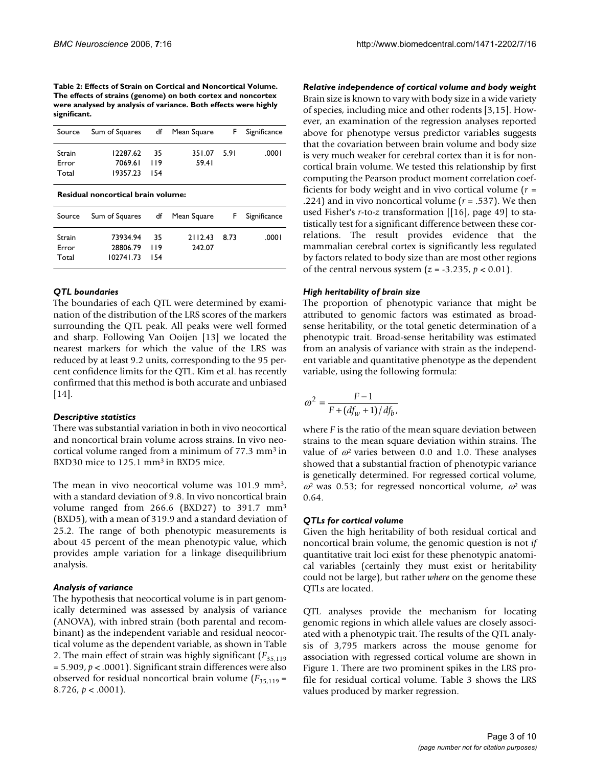**Table 2: Effects of Strain on Cortical and Noncortical Volume. The effects of strains (genome) on both cortex and noncortex were analysed by analysis of variance. Both effects were highly significant.**

| Source                   | Sum of Squares df Mean Square           |      |                      | <b>F</b> Significance |
|--------------------------|-----------------------------------------|------|----------------------|-----------------------|
| Strain<br>Error<br>Total | 12287.62<br>7069.61 119<br>19357.23 154 | - 35 | 351.07 5.91<br>59.41 | .0001                 |

|  | Residual noncortical brain volume: |  |  |
|--|------------------------------------|--|--|
|--|------------------------------------|--|--|

| Source                   | Sum of Squares df Mean Square         |             |                        | F Significance |
|--------------------------|---------------------------------------|-------------|------------------------|----------------|
| Strain<br>Error<br>Total | 73934.94<br>28806.79 119<br>102741.73 | 35<br>- 154 | 2112.43 8.73<br>242.07 | .0001          |

#### *QTL boundaries*

The boundaries of each QTL were determined by examination of the distribution of the LRS scores of the markers surrounding the QTL peak. All peaks were well formed and sharp. Following Van Ooijen [13] we located the nearest markers for which the value of the LRS was reduced by at least 9.2 units, corresponding to the 95 percent confidence limits for the QTL. Kim et al. has recently confirmed that this method is both accurate and unbiased [14].

#### *Descriptive statistics*

There was substantial variation in both in vivo neocortical and noncortical brain volume across strains. In vivo neocortical volume ranged from a minimum of 77.3 mm3 in BXD30 mice to 125.1 mm<sup>3</sup> in BXD5 mice.

The mean in vivo neocortical volume was 101.9 mm<sup>3</sup>, with a standard deviation of 9.8. In vivo noncortical brain volume ranged from 266.6 (BXD27) to 391.7 mm3 (BXD5), with a mean of 319.9 and a standard deviation of 25.2. The range of both phenotypic measurements is about 45 percent of the mean phenotypic value, which provides ample variation for a linkage disequilibrium analysis.

#### *Analysis of variance*

The hypothesis that neocortical volume is in part genomically determined was assessed by analysis of variance (ANOVA), with inbred strain (both parental and recombinant) as the independent variable and residual neocortical volume as the dependent variable, as shown in Table 2. The main effect of strain was highly significant (*F*35,119 = 5.909, *p* < .0001). Significant strain differences were also observed for residual noncortical brain volume ( $F_{35,119}$  = 8.726, *p* < .0001).

*Relative independence of cortical volume and body weight* Brain size is known to vary with body size in a wide variety of species, including mice and other rodents [3,15]. However, an examination of the regression analyses reported above for phenotype versus predictor variables suggests that the covariation between brain volume and body size is very much weaker for cerebral cortex than it is for noncortical brain volume. We tested this relationship by first computing the Pearson product moment correlation coefficients for body weight and in vivo cortical volume (*r* = .224) and in vivo noncortical volume (*r* = .537). We then used Fisher's *r*-to-*z* transformation [[16], page 49] to statistically test for a significant difference between these correlations. The result provides evidence that the mammalian cerebral cortex is significantly less regulated by factors related to body size than are most other regions of the central nervous system  $(z = -3.235, p < 0.01)$ .

#### *High heritability of brain size*

The proportion of phenotypic variance that might be attributed to genomic factors was estimated as broadsense heritability, or the total genetic determination of a phenotypic trait. Broad-sense heritability was estimated from an analysis of variance with strain as the independent variable and quantitative phenotype as the dependent variable, using the following formula:

$$
\omega^2 = \frac{F-1}{F + \left(df_w + 1\right)/df_b},
$$

where *F* is the ratio of the mean square deviation between strains to the mean square deviation within strains. The value of  $\omega^2$  varies between 0.0 and 1.0. These analyses showed that a substantial fraction of phenotypic variance is genetically determined. For regressed cortical volume,  $\omega^2$  was 0.53; for regressed noncortical volume,  $\omega^2$  was 0.64.

#### *QTLs for cortical volume*

Given the high heritability of both residual cortical and noncortical brain volume, the genomic question is not *if* quantitative trait loci exist for these phenotypic anatomical variables (certainly they must exist or heritability could not be large), but rather *where* on the genome these QTLs are located.

QTL analyses provide the mechanism for locating genomic regions in which allele values are closely associated with a phenotypic trait. The results of the QTL analysis of 3,795 markers across the mouse genome for association with regressed cortical volume are shown in Figure 1. There are two prominent spikes in the LRS profile for residual cortical volume. Table 3 shows the LRS values produced by marker regression.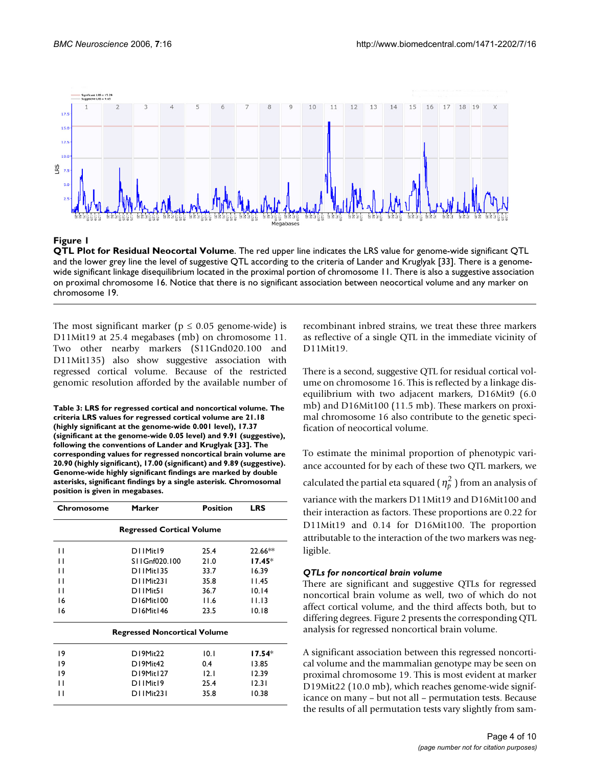

#### **Figure 1**

**QTL Plot for Residual Neocortal Volume**. The red upper line indicates the LRS value for genome-wide significant QTL and the lower grey line the level of suggestive QTL according to the criteria of Lander and Kruglyak [33]. There is a genomewide significant linkage disequilibrium located in the proximal portion of chromosome 11. There is also a suggestive association on proximal chromosome 16. Notice that there is no significant association between neocortical volume and any marker on chromosome 19.

The most significant marker ( $p \le 0.05$  genome-wide) is D11Mit19 at 25.4 megabases (mb) on chromosome 11. Two other nearby markers (S11Gnd020.100 and D11Mit135) also show suggestive association with regressed cortical volume. Because of the restricted genomic resolution afforded by the available number of

**Table 3: LRS for regressed cortical and noncortical volume. The criteria LRS values for regressed cortical volume are 21.18 (highly significant at the genome-wide 0.001 level), 17.37 (significant at the genome-wide 0.05 level) and 9.91 (suggestive), following the conventions of Lander and Kruglyak [33]. The corresponding values for regressed noncortical brain volume are 20.90 (highly significant), 17.00 (significant) and 9.89 (suggestive). Genome-wide highly significant findings are marked by double asterisks, significant findings by a single asterisk. Chromosomal position is given in megabases.**

| <b>Regressed Cortical Volume</b> |      |                                     |
|----------------------------------|------|-------------------------------------|
|                                  |      |                                     |
| DI IMit19                        | 25.4 | $22.66**$                           |
| S11Gnf020.100                    | 21.0 | 17.45*                              |
| D11Mit135                        | 33.7 | 16.39                               |
| D11Mit231                        | 35.8 | I I.45                              |
| D11Mit51                         | 36.7 | 10.14                               |
| D16Mit100                        | 11.6 | 11.13                               |
| D16Mit146                        | 23.5 | 10.18                               |
|                                  |      |                                     |
| D19Mit22                         | 10.1 | $17.54*$                            |
| D19Mit42                         | 0.4  | 13.85                               |
| D19Mit127                        | 12.1 | 12.39                               |
| D11Mit19                         | 25.4 | 12.31                               |
| D11Mit231                        | 35.8 | 10.38                               |
|                                  |      | <b>Regressed Noncortical Volume</b> |

recombinant inbred strains, we treat these three markers as reflective of a single QTL in the immediate vicinity of D11Mit19.

There is a second, suggestive QTL for residual cortical volume on chromosome 16. This is reflected by a linkage disequilibrium with two adjacent markers, D16Mit9 (6.0 mb) and D16Mit100 (11.5 mb). These markers on proximal chromosome 16 also contribute to the genetic specification of neocortical volume.

To estimate the minimal proportion of phenotypic variance accounted for by each of these two QTL markers, we calculated the partial eta squared (  $\eta_p^2$  ) from an analysis of variance with the markers D11Mit19 and D16Mit100 and their interaction as factors. These proportions are 0.22 for D11Mit19 and 0.14 for D16Mit100. The proportion attributable to the interaction of the two markers was negligible.

# *QTLs for noncortical brain volume*

There are significant and suggestive QTLs for regressed noncortical brain volume as well, two of which do not affect cortical volume, and the third affects both, but to differing degrees. Figure 2 presents the corresponding QTL analysis for regressed noncortical brain volume.

A significant association between this regressed noncortical volume and the mammalian genotype may be seen on proximal chromosome 19. This is most evident at marker D19Mit22 (10.0 mb), which reaches genome-wide significance on many – but not all – permutation tests. Because the results of all permutation tests vary slightly from sam-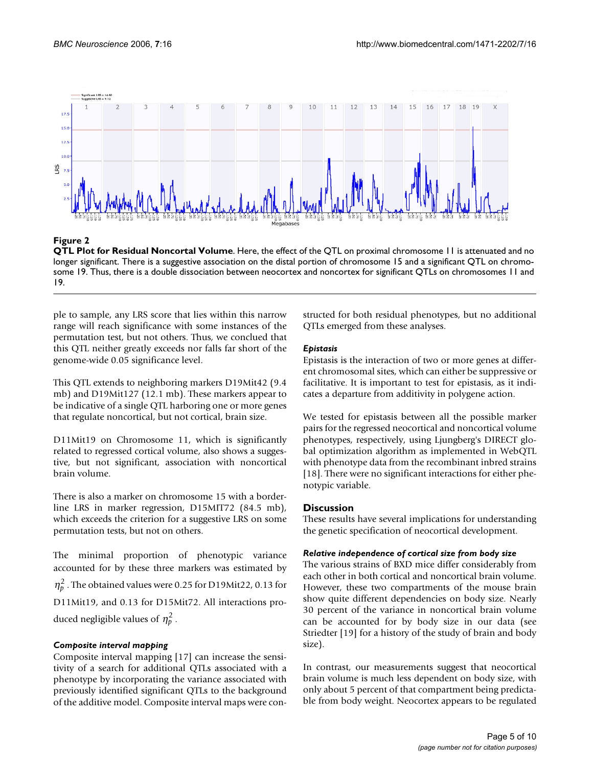

**Figure 2** 

**QTL Plot for Residual Noncortal Volume**. Here, the effect of the QTL on proximal chromosome 11 is attenuated and no longer significant. There is a suggestive association on the distal portion of chromosome 15 and a significant QTL on chromosome 19. Thus, there is a double dissociation between neocortex and noncortex for significant QTLs on chromosomes 11 and 19.

ple to sample, any LRS score that lies within this narrow range will reach significance with some instances of the permutation test, but not others. Thus, we conclued that this QTL neither greatly exceeds nor falls far short of the genome-wide 0.05 significance level.

This QTL extends to neighboring markers D19Mit42 (9.4 mb) and D19Mit127 (12.1 mb). These markers appear to be indicative of a single QTL harboring one or more genes that regulate noncortical, but not cortical, brain size.

D11Mit19 on Chromosome 11, which is significantly related to regressed cortical volume, also shows a suggestive, but not significant, association with noncortical brain volume.

There is also a marker on chromosome 15 with a borderline LRS in marker regression, D15MIT72 (84.5 mb), which exceeds the criterion for a suggestive LRS on some permutation tests, but not on others.

The minimal proportion of phenotypic variance accounted for by these three markers was estimated by  $\eta_p^2$ . The obtained values were 0.25 for D19Mit22, 0.13 for D11Mit19, and 0.13 for D15Mit72. All interactions produced negligible values of  $\eta_p^2$ .

# *Composite interval mapping*

Composite interval mapping [17] can increase the sensitivity of a search for additional QTLs associated with a phenotype by incorporating the variance associated with previously identified significant QTLs to the background of the additive model. Composite interval maps were constructed for both residual phenotypes, but no additional QTLs emerged from these analyses.

# *Epistasis*

Epistasis is the interaction of two or more genes at different chromosomal sites, which can either be suppressive or facilitative. It is important to test for epistasis, as it indicates a departure from additivity in polygene action.

We tested for epistasis between all the possible marker pairs for the regressed neocortical and noncortical volume phenotypes, respectively, using Ljungberg's DIRECT global optimization algorithm as implemented in WebQTL with phenotype data from the recombinant inbred strains [18]. There were no significant interactions for either phenotypic variable.

# **Discussion**

These results have several implications for understanding the genetic specification of neocortical development.

# *Relative independence of cortical size from body size*

The various strains of BXD mice differ considerably from each other in both cortical and noncortical brain volume. However, these two compartments of the mouse brain show quite different dependencies on body size. Nearly 30 percent of the variance in noncortical brain volume can be accounted for by body size in our data (see Striedter [19] for a history of the study of brain and body size).

In contrast, our measurements suggest that neocortical brain volume is much less dependent on body size, with only about 5 percent of that compartment being predictable from body weight. Neocortex appears to be regulated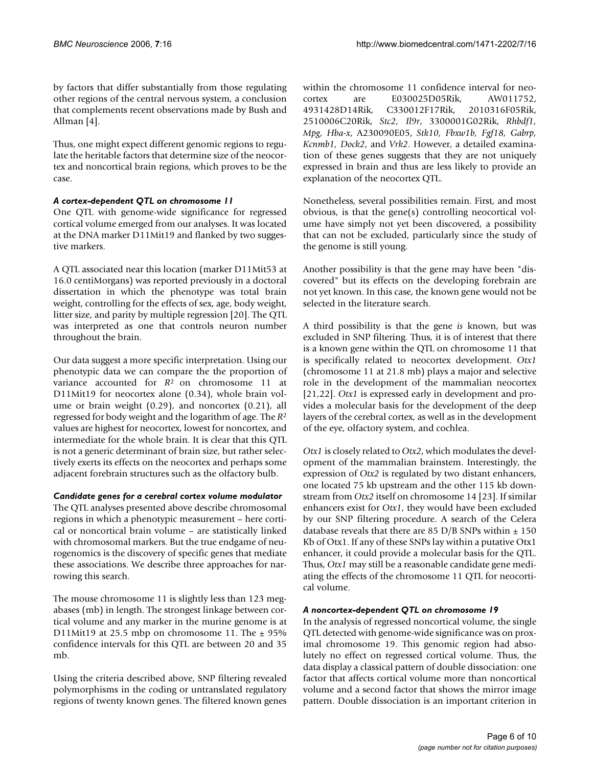by factors that differ substantially from those regulating other regions of the central nervous system, a conclusion that complements recent observations made by Bush and Allman [4].

Thus, one might expect different genomic regions to regulate the heritable factors that determine size of the neocortex and noncortical brain regions, which proves to be the case.

# *A cortex-dependent QTL on chromosome 11*

One QTL with genome-wide significance for regressed cortical volume emerged from our analyses. It was located at the DNA marker D11Mit19 and flanked by two suggestive markers.

A QTL associated near this location (marker D11Mit53 at 16.0 centiMorgans) was reported previously in a doctoral dissertation in which the phenotype was total brain weight, controlling for the effects of sex, age, body weight, litter size, and parity by multiple regression [20]. The QTL was interpreted as one that controls neuron number throughout the brain.

Our data suggest a more specific interpretation. Using our phenotypic data we can compare the the proportion of variance accounted for *R*2 on chromosome 11 at D11Mit19 for neocortex alone (0.34), whole brain volume or brain weight (0.29), and noncortex (0.21), all regressed for body weight and the logarithm of age. The *R*<sup>2</sup> values are highest for neocortex, lowest for noncortex, and intermediate for the whole brain. It is clear that this QTL is not a generic determinant of brain size, but rather selectively exerts its effects on the neocortex and perhaps some adjacent forebrain structures such as the olfactory bulb.

# *Candidate genes for a cerebral cortex volume modulator*

The QTL analyses presented above describe chromosomal regions in which a phenotypic measurement – here cortical or noncortical brain volume – are statistically linked with chromosomal markers. But the true endgame of neurogenomics is the discovery of specific genes that mediate these associations. We describe three approaches for narrowing this search.

The mouse chromosome 11 is slightly less than 123 megabases (mb) in length. The strongest linkage between cortical volume and any marker in the murine genome is at D11Mit19 at 25.5 mbp on chromosome 11. The  $\pm$  95% confidence intervals for this QTL are between 20 and 35 mb.

Using the criteria described above, SNP filtering revealed polymorphisms in the coding or untranslated regulatory regions of twenty known genes. The filtered known genes within the chromosome 11 confidence interval for neocortex are E030025D05Rik, AW011752, 4931428D14Rik, C330012F17Rik, 2010316F05Rik, 2510006C20Rik, *Stc2, Il9r*, 3300001G02Rik, *Rhbdf1, Mpg, Hba-x*, A230090E05, *Stk10, Fbxw1b, Fgf18, Gabrp, Kcnmb1, Dock2*, and *Vrk2*. However, a detailed examination of these genes suggests that they are not uniquely expressed in brain and thus are less likely to provide an explanation of the neocortex QTL.

Nonetheless, several possibilities remain. First, and most obvious, is that the gene(s) controlling neocortical volume have simply not yet been discovered, a possibility that can not be excluded, particularly since the study of the genome is still young.

Another possibility is that the gene may have been "discovered" but its effects on the developing forebrain are not yet known. In this case, the known gene would not be selected in the literature search.

A third possibility is that the gene *is* known, but was excluded in SNP filtering. Thus, it is of interest that there is a known gene within the QTL on chromosome 11 that is specifically related to neocortex development. *Otx1* (chromosome 11 at 21.8 mb) plays a major and selective role in the development of the mammalian neocortex [21,22]. *Otx1* is expressed early in development and provides a molecular basis for the development of the deep layers of the cerebral cortex, as well as in the development of the eye, olfactory system, and cochlea.

*Otx1* is closely related to *Otx2*, which modulates the development of the mammalian brainstem. Interestingly, the expression of *Otx2* is regulated by two distant enhancers, one located 75 kb upstream and the other 115 kb downstream from *Otx2* itself on chromosome 14 [23]. If similar enhancers exist for *Otx1*, they would have been excluded by our SNP filtering procedure. A search of the Celera database reveals that there are 85 D/B SNPs within  $\pm$  150 Kb of Otx1. If any of these SNPs lay within a putative Otx1 enhancer, it could provide a molecular basis for the QTL. Thus, *Otx1* may still be a reasonable candidate gene mediating the effects of the chromosome 11 QTL for neocortical volume.

# *A noncortex-dependent QTL on chromosome 19*

In the analysis of regressed noncortical volume, the single QTL detected with genome-wide significance was on proximal chromosome 19. This genomic region had absolutely no effect on regressed cortical volume. Thus, the data display a classical pattern of double dissociation: one factor that affects cortical volume more than noncortical volume and a second factor that shows the mirror image pattern. Double dissociation is an important criterion in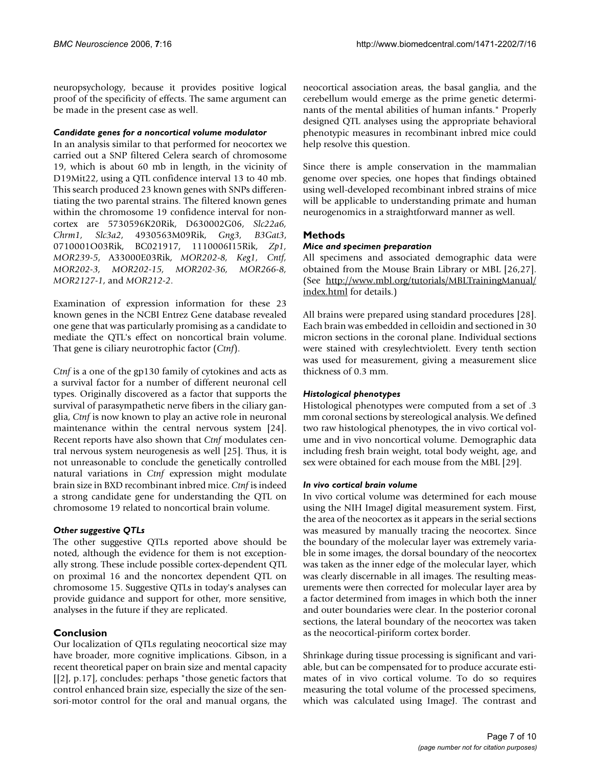neuropsychology, because it provides positive logical proof of the specificity of effects. The same argument can be made in the present case as well.

#### *Candidate genes for a noncortical volume modulator*

In an analysis similar to that performed for neocortex we carried out a SNP filtered Celera search of chromosome 19, which is about 60 mb in length, in the vicinity of D19Mit22, using a QTL confidence interval 13 to 40 mb. This search produced 23 known genes with SNPs differentiating the two parental strains. The filtered known genes within the chromosome 19 confidence interval for noncortex are 5730596K20Rik, D630002G06, *Slc22a6, Chrm1, Slc3a2*, 4930563M09Rik, *Gng3, B3Gat3*, 0710001O03Rik, BC021917, 1110006I15Rik, *Zp1, MOR239-5*, A33000E03Rik, *MOR202-8, Keg1, Cntf, MOR202-3, MOR202-15, MOR202-36, MOR266-8, MOR2127-1*, and *MOR212-2*.

Examination of expression information for these 23 known genes in the NCBI Entrez Gene database revealed one gene that was particularly promising as a candidate to mediate the QTL's effect on noncortical brain volume. That gene is ciliary neurotrophic factor (*Ctnf*).

*Ctnf* is a one of the gp130 family of cytokines and acts as a survival factor for a number of different neuronal cell types. Originally discovered as a factor that supports the survival of parasympathetic nerve fibers in the ciliary ganglia, *Ctnf* is now known to play an active role in neuronal maintenance within the central nervous system [24]. Recent reports have also shown that *Ctnf* modulates central nervous system neurogenesis as well [25]. Thus, it is not unreasonable to conclude the genetically controlled natural variations in *Ctnf* expression might modulate brain size in BXD recombinant inbred mice. *Ctnf* is indeed a strong candidate gene for understanding the QTL on chromosome 19 related to noncortical brain volume.

# *Other suggestive QTLs*

The other suggestive QTLs reported above should be noted, although the evidence for them is not exceptionally strong. These include possible cortex-dependent QTL on proximal 16 and the noncortex dependent QTL on chromosome 15. Suggestive QTLs in today's analyses can provide guidance and support for other, more sensitive, analyses in the future if they are replicated.

# **Conclusion**

Our localization of QTLs regulating neocortical size may have broader, more cognitive implications. Gibson, in a recent theoretical paper on brain size and mental capacity [[2], p.17], concludes: perhaps "those genetic factors that control enhanced brain size, especially the size of the sensori-motor control for the oral and manual organs, the neocortical association areas, the basal ganglia, and the cerebellum would emerge as the prime genetic determinants of the mental abilities of human infants." Properly designed QTL analyses using the appropriate behavioral phenotypic measures in recombinant inbred mice could help resolve this question.

Since there is ample conservation in the mammalian genome over species, one hopes that findings obtained using well-developed recombinant inbred strains of mice will be applicable to understanding primate and human neurogenomics in a straightforward manner as well.

# **Methods**

#### *Mice and specimen preparation*

All specimens and associated demographic data were obtained from the Mouse Brain Library or MBL [26,27]. (See [http://www.mbl.org/tutorials/MBLTrainingManual/](http://www.mbl.org/tutorials/MBLTrainingManual/index.html) [index.html](http://www.mbl.org/tutorials/MBLTrainingManual/index.html) for details.)

All brains were prepared using standard procedures [28]. Each brain was embedded in celloidin and sectioned in 30 micron sections in the coronal plane. Individual sections were stained with cresylechtviolett. Every tenth section was used for measurement, giving a measurement slice thickness of 0.3 mm.

# *Histological phenotypes*

Histological phenotypes were computed from a set of .3 mm coronal sections by stereological analysis. We defined two raw histological phenotypes, the in vivo cortical volume and in vivo noncortical volume. Demographic data including fresh brain weight, total body weight, age, and sex were obtained for each mouse from the MBL [29].

#### *In vivo cortical brain volume*

In vivo cortical volume was determined for each mouse using the NIH ImageJ digital measurement system. First, the area of the neocortex as it appears in the serial sections was measured by manually tracing the neocortex. Since the boundary of the molecular layer was extremely variable in some images, the dorsal boundary of the neocortex was taken as the inner edge of the molecular layer, which was clearly discernable in all images. The resulting measurements were then corrected for molecular layer area by a factor determined from images in which both the inner and outer boundaries were clear. In the posterior coronal sections, the lateral boundary of the neocortex was taken as the neocortical-piriform cortex border.

Shrinkage during tissue processing is significant and variable, but can be compensated for to produce accurate estimates of in vivo cortical volume. To do so requires measuring the total volume of the processed specimens, which was calculated using ImageJ. The contrast and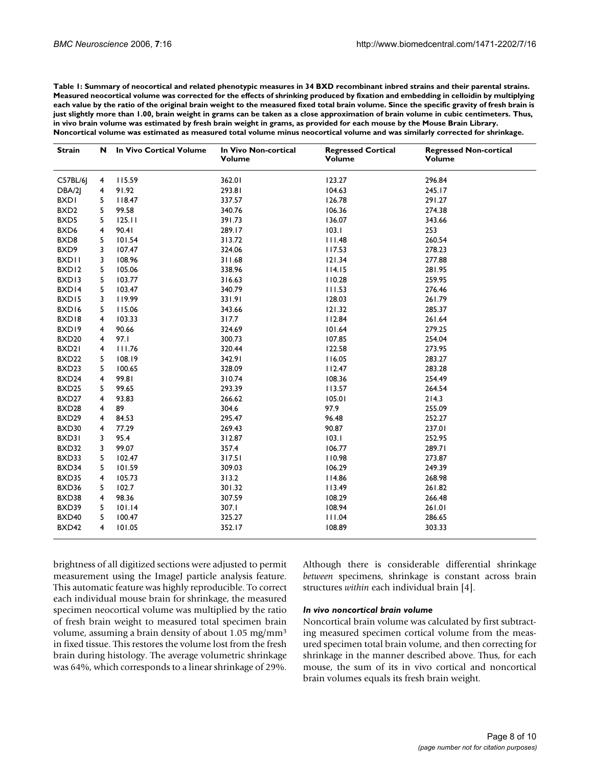**Table 1: Summary of neocortical and related phenotypic measures in 34 BXD recombinant inbred strains and their parental strains. Measured neocortical volume was corrected for the effects of shrinking produced by fixation and embedding in celloidin by multiplying each value by the ratio of the original brain weight to the measured fixed total brain volume. Since the specific gravity of fresh brain is just slightly more than 1.00, brain weight in grams can be taken as a close approximation of brain volume in cubic centimeters. Thus, in vivo brain volume was estimated by fresh brain weight in grams, as provided for each mouse by the Mouse Brain Library. Noncortical volume was estimated as measured total volume minus neocortical volume and was similarly corrected for shrinkage.**

| <b>Strain</b>     | N | In Vivo Cortical Volume | In Vivo Non-cortical<br>Volume | <b>Regressed Cortical</b><br>Volume | <b>Regressed Non-cortical</b><br>Volume |
|-------------------|---|-------------------------|--------------------------------|-------------------------------------|-----------------------------------------|
| C57BL/6           | 4 | 115.59                  | 362.01                         | 123.27                              | 296.84                                  |
| DBA/2             | 4 | 91.92                   | 293.81                         | 104.63                              | 245.17                                  |
| <b>BXDI</b>       | 5 | 118.47                  | 337.57                         | 126.78                              | 291.27                                  |
| BXD <sub>2</sub>  | 5 | 99.58                   | 340.76                         | 106.36                              | 274.38                                  |
| BXD5              | 5 | 125.11                  | 391.73                         | 136.07                              | 343.66                                  |
| BXD6              | 4 | 90.41                   | 289.17                         | 103.1                               | 253                                     |
| BXD8              | 5 | 101.54                  | 313.72                         | 111.48                              | 260.54                                  |
| BXD9              | 3 | 107.47                  | 324.06                         | 117.53                              | 278.23                                  |
| <b>BXDII</b>      | 3 | 108.96                  | 311.68                         | 121.34                              | 277.88                                  |
| BXD <sub>12</sub> | 5 | 105.06                  | 338.96                         | 114.15                              | 281.95                                  |
| BXD13             | 5 | 103.77                  | 316.63                         | 110.28                              | 259.95                                  |
| BXD14             | 5 | 103.47                  | 340.79                         | 111.53                              | 276.46                                  |
| BXD15             | 3 | 119.99                  | 331.91                         | 128.03                              | 261.79                                  |
| BXD16             | 5 | 115.06                  | 343.66                         | 121.32                              | 285.37                                  |
| BXD18             | 4 | 103.33                  | 317.7                          | 112.84                              | 261.64                                  |
| BXD19             | 4 | 90.66                   | 324.69                         | 101.64                              | 279.25                                  |
| BXD <sub>20</sub> | 4 | 97.1                    | 300.73                         | 107.85                              | 254.04                                  |
| BXD21             | 4 | 111.76                  | 320.44                         | 122.58                              | 273.95                                  |
| BXD <sub>22</sub> | 5 | 108.19                  | 342.91                         | 116.05                              | 283.27                                  |
| BXD23             | 5 | 100.65                  | 328.09                         | 112.47                              | 283.28                                  |
| BXD24             | 4 | 99.81                   | 310.74                         | 108.36                              | 254.49                                  |
| BXD25             | 5 | 99.65                   | 293.39                         | 113.57                              | 264.54                                  |
| BXD27             | 4 | 93.83                   | 266.62                         | 105.01                              | 214.3                                   |
| BXD28             | 4 | 89                      | 304.6                          | 97.9                                | 255.09                                  |
| BXD29             | 4 | 84.53                   | 295.47                         | 96.48                               | 252.27                                  |
| BXD30             | 4 | 77.29                   | 269.43                         | 90.87                               | 237.01                                  |
| BXD31             | 3 | 95.4                    | 312.87                         | 103.1                               | 252.95                                  |
| BXD32             | 3 | 99.07                   | 357.4                          | 106.77                              | 289.71                                  |
| BXD33             | 5 | 102.47                  | 317.51                         | 110.98                              | 273.87                                  |
| BXD34             | 5 | 101.59                  | 309.03                         | 106.29                              | 249.39                                  |
| BXD35             | 4 | 105.73                  | 313.2                          | 114.86                              | 268.98                                  |
| BXD36             | 5 | 102.7                   | 301.32                         | 113.49                              | 261.82                                  |
| BXD38             | 4 | 98.36                   | 307.59                         | 108.29                              | 266.48                                  |
| BXD39             | 5 | 101.14                  | 307.1                          | 108.94                              | 261.01                                  |
| BXD40             | 5 | 100.47                  | 325.27                         | 111.04                              | 286.65                                  |
| BXD42             | 4 | 101.05                  | 352.17                         | 108.89                              | 303.33                                  |

brightness of all digitized sections were adjusted to permit measurement using the ImageJ particle analysis feature. This automatic feature was highly reproducible. To correct each individual mouse brain for shrinkage, the measured specimen neocortical volume was multiplied by the ratio of fresh brain weight to measured total specimen brain volume, assuming a brain density of about 1.05 mg/mm3 in fixed tissue. This restores the volume lost from the fresh brain during histology. The average volumetric shrinkage was 64%, which corresponds to a linear shrinkage of 29%.

Although there is considerable differential shrinkage *between* specimens, shrinkage is constant across brain structures *within* each individual brain [4].

#### *In vivo noncortical brain volume*

Noncortical brain volume was calculated by first subtracting measured specimen cortical volume from the measured specimen total brain volume, and then correcting for shrinkage in the manner described above. Thus, for each mouse, the sum of its in vivo cortical and noncortical brain volumes equals its fresh brain weight.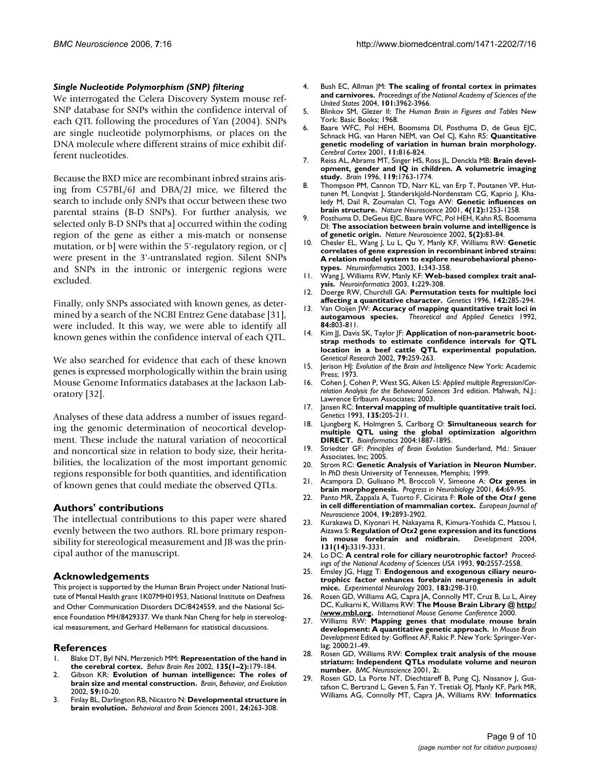#### *Single Nucleotide Polymorphism (SNP) filtering*

We interrogated the Celera Discovery System mouse ref-SNP database for SNPs within the confidence interval of each QTL following the procedures of Yan (2004). SNPs are single nucleotide polymorphisms, or places on the DNA molecule where different strains of mice exhibit different nucleotides.

Because the BXD mice are recombinant inbred strains arising from C57BL/6J and DBA/2J mice, we filtered the search to include only SNPs that occur between these two parental strains (B-D SNPs). For further analysis, we selected only B-D SNPs that a] occurred within the coding region of the gene as either a mis-match or nonsense mutation, or b] were within the 5'-regulatory region, or c] were present in the 3'-untranslated region. Silent SNPs and SNPs in the intronic or intergenic regions were excluded.

Finally, only SNPs associated with known genes, as determined by a search of the NCBI Entrez Gene database [31], were included. It this way, we were able to identify all known genes within the confidence interval of each QTL.

We also searched for evidence that each of these known genes is expressed morphologically within the brain using Mouse Genome Informatics databases at the Jackson Laboratory [32].

Analyses of these data address a number of issues regarding the genomic determination of neocortical development. These include the natural variation of neocortical and noncortical size in relation to body size, their heritabilities, the localization of the most important genomic regions responsible for both quantities, and identification of known genes that could mediate the observed QTLs.

# **Authors' contributions**

The intellectual contributions to this paper were shared evenly between the two authors. RL bore primary responsibility for stereological measurement and JB was the principal author of the manuscript.

#### **Acknowledgements**

This project is supported by the Human Brain Project under National Institute of Mental Health grant 1K07MH01953, National Institute on Deafness and Other Communication Disorders DC/8424559, and the National Science Foundation MH/8429337. We thank Nan Cheng for help in stereological measurement, and Gerhard Hellemann for statistical discussions.

#### **References**

- 1. Blake DT, Byl NN, Merzenich MM: **[Representation of the hand in](http://www.ncbi.nlm.nih.gov/entrez/query.fcgi?cmd=Retrieve&db=PubMed&dopt=Abstract&list_uids=12356448) [the cerebral cortex.](http://www.ncbi.nlm.nih.gov/entrez/query.fcgi?cmd=Retrieve&db=PubMed&dopt=Abstract&list_uids=12356448)** *Behav Brain Res* 2002, **135(1–2):**179-184.
- 2. Gibson KR: **Evolution of human intelligence: The roles of brain size and mental construction.** *Brain, Behavior, and Evolution* 2002, **59:**10-20.
- 3. Finlay BL, Darlington RB, Nicastro N: **Developmental structure in brain evolution.** *Behavioral and Brain Sciences* 2001, **24:**263-308.
- 4. Bush EC, Allman JM: **The scaling of frontal cortex in primates and carnivores.** *Proceedings of the National Academy of Sciences of the United States* 2004, **101:**3962-3966.
- 5. Blinkov SM, Glezer II: *The Human Brain in Figures and Tables* New York: Basic Books; 1968.
- 6. Baare WFC, Pol HEH, Boomsma DI, Posthuma D, de Geus EJC, Schnack HG, van Haren NEM, van Oel CJ, Kahn RS: **[Quantitative](http://www.ncbi.nlm.nih.gov/entrez/query.fcgi?cmd=Retrieve&db=PubMed&dopt=Abstract&list_uids=11532887) [genetic modeling of variation in human brain morphology.](http://www.ncbi.nlm.nih.gov/entrez/query.fcgi?cmd=Retrieve&db=PubMed&dopt=Abstract&list_uids=11532887)** *Cerebral Cortex* 2001, **11:**816-824.
- 7. Reiss AL, Abrams MT, Singer HS, Ross JL, Denckla MB: **[Brain devel](http://www.ncbi.nlm.nih.gov/entrez/query.fcgi?cmd=Retrieve&db=PubMed&dopt=Abstract&list_uids=8931596)[opment, gender and IQ in children. A volumetric imaging](http://www.ncbi.nlm.nih.gov/entrez/query.fcgi?cmd=Retrieve&db=PubMed&dopt=Abstract&list_uids=8931596) [study.](http://www.ncbi.nlm.nih.gov/entrez/query.fcgi?cmd=Retrieve&db=PubMed&dopt=Abstract&list_uids=8931596)** *Brain* 1996, **119:**1763-1774.
- 8. Thompson PM, Cannon TD, Narr KL, van Erp T, Poutanen VP, Huttunen M, Lonqvist J, Standerskjold-Nordenstam CG, Kaprio J, Khaledy M, Dail R, Zoumalan CI, Toga AW: **[Genetic influences on](http://www.ncbi.nlm.nih.gov/entrez/query.fcgi?cmd=Retrieve&db=PubMed&dopt=Abstract&list_uids=11694885) [brain structure.](http://www.ncbi.nlm.nih.gov/entrez/query.fcgi?cmd=Retrieve&db=PubMed&dopt=Abstract&list_uids=11694885)** *Nature Neuroscience* 2001, **4(12):**1253-1258.
- 9. Posthuma D, DeGeus EJC, Baare WFC, Pol HEH, Kahn RS, Boomsma DI: **[The association between brain volume and intelligence is](http://www.ncbi.nlm.nih.gov/entrez/query.fcgi?cmd=Retrieve&db=PubMed&dopt=Abstract&list_uids=11818967) [of genetic origin.](http://www.ncbi.nlm.nih.gov/entrez/query.fcgi?cmd=Retrieve&db=PubMed&dopt=Abstract&list_uids=11818967)** *Nature Neuroscience* 2002, **5(2):**83-84.
- 10. Chesler EL, Wang J, Lu L, Qu Y, Manly KF, Williams RW: **[Genetic](http://www.ncbi.nlm.nih.gov/entrez/query.fcgi?cmd=Retrieve&db=PubMed&dopt=Abstract&list_uids=15043220) correlates of gene expression in recombinant inbred strains: [A relation model system to explore neurobehavioral pheno](http://www.ncbi.nlm.nih.gov/entrez/query.fcgi?cmd=Retrieve&db=PubMed&dopt=Abstract&list_uids=15043220)[types.](http://www.ncbi.nlm.nih.gov/entrez/query.fcgi?cmd=Retrieve&db=PubMed&dopt=Abstract&list_uids=15043220)** *Neuroinformatics* 2003, **1:**343-358.
- 11. Wang J, Williams RW, Manly KF: **Web-based complex trait analysis.** *Neuroinformatics* 2003, **1:**229-308.
- 12. Doerge RW, Churchill GA: **[Permutation tests for multiple loci](http://www.ncbi.nlm.nih.gov/entrez/query.fcgi?cmd=Retrieve&db=PubMed&dopt=Abstract&list_uids=8770605) [affecting a quantitative character.](http://www.ncbi.nlm.nih.gov/entrez/query.fcgi?cmd=Retrieve&db=PubMed&dopt=Abstract&list_uids=8770605)** *Genetics* 1996, **142:**285-294.
- 13. Van Ooijen JW: **Accuracy of mapping quantitative trait loci in autogamous species.** *Theoretical and Applied Genetics* 1992, **84:**803-811.
- 14. Kim JJ, Davis SK, Taylor JF: **[Application of non-parametric boot](http://www.ncbi.nlm.nih.gov/entrez/query.fcgi?cmd=Retrieve&db=PubMed&dopt=Abstract&list_uids=12220133)strap methods to estimate confidence intervals for QTL [location in a beef cattle QTL experimental population.](http://www.ncbi.nlm.nih.gov/entrez/query.fcgi?cmd=Retrieve&db=PubMed&dopt=Abstract&list_uids=12220133)** *Genetical Research* 2002, **79:**259-263.
- 15. Jerison HJ: *Evolution of the Brain and Intelligence* New York: Academic Press; 1973.
- 16. Cohen J, Cohen P, West SG, Aiken LS: *Applied multiple Regression/Correlation Analysis for the Behavioral Sciences* 3rd edition. Mahwah, N.J.: Lawrence Erlbaum Associates; 2003.
- 17. Jansen RC: **[Interval mapping of multiple quantitative trait loci.](http://www.ncbi.nlm.nih.gov/entrez/query.fcgi?cmd=Retrieve&db=PubMed&dopt=Abstract&list_uids=8224820)** *Genetics* 1993, **135:**205-211.
- 18. Ljungberg K, Holmgren S, Carlborg O: **[Simultaneous search for](http://www.ncbi.nlm.nih.gov/entrez/query.fcgi?cmd=Retrieve&db=PubMed&dopt=Abstract&list_uids=15044246) [multiple QTL using the global optimization algorithm](http://www.ncbi.nlm.nih.gov/entrez/query.fcgi?cmd=Retrieve&db=PubMed&dopt=Abstract&list_uids=15044246) [DIRECT.](http://www.ncbi.nlm.nih.gov/entrez/query.fcgi?cmd=Retrieve&db=PubMed&dopt=Abstract&list_uids=15044246)** *Bioinformatics* 2004:1887-1895.
- 19. Striedter GF: *Principles of Brain Evolution* Sunderland, Md.: Sinauer Associates, Inc; 2005.
- 20. Strom RC: **Genetic Analysis of Variation in Neuron Number.** In *PhD thesis* University of Tennessee, Memphis; 1999.
- 21. Acampora D, Gulisano M, Broccoli V, Simeone A: *Otx* **[genes in](http://www.ncbi.nlm.nih.gov/entrez/query.fcgi?cmd=Retrieve&db=PubMed&dopt=Abstract&list_uids=11250063) [brain morphogenesis.](http://www.ncbi.nlm.nih.gov/entrez/query.fcgi?cmd=Retrieve&db=PubMed&dopt=Abstract&list_uids=11250063)** *Progress in Neurobiology* 2001, **64:**69-95.
- 22. Panto MR, Zappala A, Tuorto F, Cicirata F: **Role of the** *Otx1* **[gene](http://www.ncbi.nlm.nih.gov/entrez/query.fcgi?cmd=Retrieve&db=PubMed&dopt=Abstract&list_uids=15147323) [in cell differentiation of mammalian cortex.](http://www.ncbi.nlm.nih.gov/entrez/query.fcgi?cmd=Retrieve&db=PubMed&dopt=Abstract&list_uids=15147323)** *European Journal of Neuroscience* 2004, **19:**2893-2902.
- 23. Kurakawa D, Kiyonari H, Nakayama R, Kimura-Yoshida C, Matsou I, Aizawa S: **Regulation of** *Otx2* **[gene expression and its functions](http://www.ncbi.nlm.nih.gov/entrez/query.fcgi?cmd=Retrieve&db=PubMed&dopt=Abstract&list_uids=15201224)** [in mouse forebrain and midbrain.](http://www.ncbi.nlm.nih.gov/entrez/query.fcgi?cmd=Retrieve&db=PubMed&dopt=Abstract&list_uids=15201224) **131(14):**3319-3331.
- 24. Lo DC: **A central role for ciliary neurotrophic factor?** *Proceedings of the National Academy of Sciences USA* 1993, **90:**2557-2558.
- 25. Emsley JG, Hagg T: **[Endogenous and exogenous ciliary neuro](http://www.ncbi.nlm.nih.gov/entrez/query.fcgi?cmd=Retrieve&db=PubMed&dopt=Abstract&list_uids=14552871)[trophicc factor enhances forebrain neurogenesis in adult](http://www.ncbi.nlm.nih.gov/entrez/query.fcgi?cmd=Retrieve&db=PubMed&dopt=Abstract&list_uids=14552871) [mice.](http://www.ncbi.nlm.nih.gov/entrez/query.fcgi?cmd=Retrieve&db=PubMed&dopt=Abstract&list_uids=14552871)** *Experimental Neurology* 2003, **183:**298-310.
- 26. Rosen GD, Williams AG, Capra JA, Connolly MT, Cruz B, Lu L, Airey DC, Kulkarni K, Williams RW: **The Mouse Brain Library @ [http:/](http://www.mbl.org) [/www.mbl.org.](http://www.mbl.org)** *International Mouse Genome Conference* 2000.
- 27. Williams RW: **Mapping genes that modulate mouse brain development: A quantitative genetic approach.** In *Mouse Brain Development* Edited by: Goffinet AF, Rakic P. New York: Springer-Verlag; 2000:21-49.
- 28. Rosen GD, Williams RW: **[Complex trait analysis of the mouse](http://www.ncbi.nlm.nih.gov/entrez/query.fcgi?cmd=Retrieve&db=PubMed&dopt=Abstract&list_uids=11319941) [striatum: Independent QTLs modulate volume and neuron](http://www.ncbi.nlm.nih.gov/entrez/query.fcgi?cmd=Retrieve&db=PubMed&dopt=Abstract&list_uids=11319941) [number.](http://www.ncbi.nlm.nih.gov/entrez/query.fcgi?cmd=Retrieve&db=PubMed&dopt=Abstract&list_uids=11319941)** *BMC Neuroscience* 2001, **2:**.
- 29. Rosen GD, La Porte NT, Diechtiareff B, Pung CJ, Nissanov J, Gustafson C, Bertrand L, Geven S, Fan Y, Tretiak OJ, Manly KF, Park MR, Williams AG, Connolly MT, Capra JA, Williams RW: **[Informatics](http://www.ncbi.nlm.nih.gov/entrez/query.fcgi?cmd=Retrieve&db=PubMed&dopt=Abstract&list_uids=15043219)**